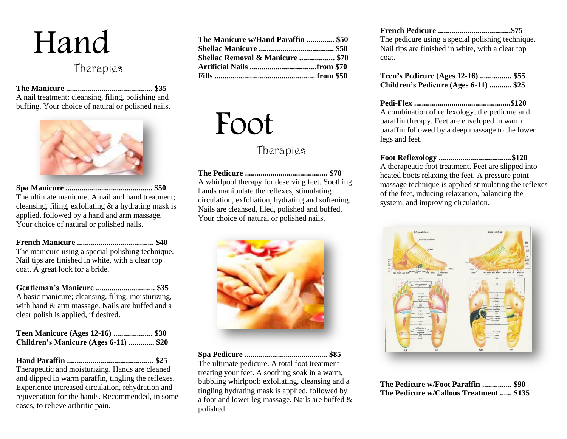

## Therapies

**The Manicure ............................................ \$35** A nail treatment; cleansing, filing, polishing and buffing. Your choice of natural or polished nails.



**Spa Manicure ............................................ \$50** The ultimate manicure. A nail and hand treatment; cleansing, filing, exfoliating & a hydrating mask is applied, followed by a hand and arm massage. Your choice of natural or polished nails.

**French Manicure ....................................... \$40** The manicure using a special polishing technique. Nail tips are finished in white, with a clear top coat. A great look for a bride.

**Gentleman's Manicure .............................. \$35** A basic manicure; cleansing, filing, moisturizing, with hand & arm massage. Nails are buffed and a clear polish is applied, if desired.

| Teen Manicure (Ages 12-16)  \$30      |  |
|---------------------------------------|--|
| Children's Manicure (Ages 6-11)  \$20 |  |

**Hand Paraffin ............................................ \$25** Therapeutic and moisturizing. Hands are cleaned and dipped in warm paraffin, tingling the reflexes. Experience increased circulation, rehydration and rejuvenation for the hands. Recommended, in some cases, to relieve arthritic pain.

| The Manicure w/Hand Paraffin  \$50 |  |
|------------------------------------|--|
|                                    |  |
| Shellac Removal & Manicure  \$70   |  |
|                                    |  |
|                                    |  |

## Foot

## Therapies

**The Pedicure .......................................... \$70** A whirlpool therapy for deserving feet. Soothing hands manipulate the reflexes, stimulating circulation, exfoliation, hydrating and softening. Nails are cleansed, filed, polished and buffed. Your choice of natural or polished nails.



**Spa Pedicure .......................................... \$85** The ultimate pedicure. A total foot treatment treating your feet. A soothing soak in a warm, bubbling whirlpool; exfoliating, cleansing and a tingling hydrating mask is applied, followed by a foot and lower leg massage. Nails are buffed & polished.

| The pedicure using a special polishing technique. |  |
|---------------------------------------------------|--|
| Nail tips are finished in white, with a clear top |  |
| coat.                                             |  |

**Teen's Pedicure (Ages 12-16) ................ \$55 Children's Pedicure (Ages 6-11) ........... \$25**

**Pedi-Flex .................................................\$120** A combination of reflexology, the pedicure and

paraffin therapy. Feet are enveloped in warm paraffin followed by a deep massage to the lower legs and feet.

**Foot Reflexology .....................................\$120**

A therapeutic foot treatment. Feet are slipped into heated boots relaxing the feet. A pressure point massage technique is applied stimulating the reflexes of the feet, inducing relaxation, balancing the system, and improving circulation.



**The Pedicure w/Foot Paraffin ............... \$90 The Pedicure w/Callous Treatment ...... \$135**